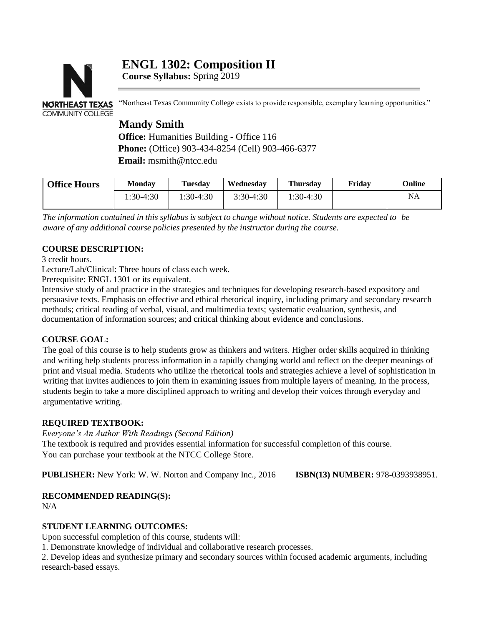# **ENGL 1302: Composition II**



**Course Syllabus:** Spring 2019

"Northeast Texas Community College exists to provide responsible, exemplary learning opportunities."

## **Mandy Smith**

**Office:** Humanities Building - Office 116 **Phone:** (Office) 903-434-8254 (Cell) 903-466-6377 **Email:** msmith@ntcc.edu

| <b>Office Hours</b> | <b>Monday</b> | <b>Tuesday</b> | Wednesdav   | <b>Thursday</b> | Fridav | Online |
|---------------------|---------------|----------------|-------------|-----------------|--------|--------|
|                     | $1:30-4:30$   | 1:30-4:30      | $3:30-4:30$ | $1:30-4:30$     |        | NA     |

The information contained in this syllabus is subject to change without notice. Students are expected to be *aware of any additional course policies presented by the instructor during the course.*

## **COURSE DESCRIPTION:**

3 credit hours.

Lecture/Lab/Clinical: Three hours of class each week.

Prerequisite: ENGL 1301 or its equivalent.

Intensive study of and practice in the strategies and techniques for developing research-based expository and persuasive texts. Emphasis on effective and ethical rhetorical inquiry, including primary and secondary research methods; critical reading of verbal, visual, and multimedia texts; systematic evaluation, synthesis, and documentation of information sources; and critical thinking about evidence and conclusions.

## **COURSE GOAL:**

The goal of this course is to help students grow as thinkers and writers. Higher order skills acquired in thinking and writing help students process information in a rapidly changing world and reflect on the deeper meanings of print and visual media. Students who utilize the rhetorical tools and strategies achieve a level of sophistication in writing that invites audiences to join them in examining issues from multiple layers of meaning. In the process, students begin to take a more disciplined approach to writing and develop their voices through everyday and argumentative writing.

## **REQUIRED TEXTBOOK:**

*Everyone's An Author With Readings (Second Edition)*

The textbook is required and provides essential information for successful completion of this course. You can purchase your textbook at the NTCC College Store.

**PUBLISHER:** New York: W. W. Norton and Company Inc., 2016 **ISBN(13) NUMBER:** 978-0393938951.

## **RECOMMENDED READING(S):**

 $N/A$ 

## **STUDENT LEARNING OUTCOMES:**

Upon successful completion of this course, students will:

1. Demonstrate knowledge of individual and collaborative research processes.

2. Develop ideas and synthesize primary and secondary sources within focused academic arguments, including research-based essays.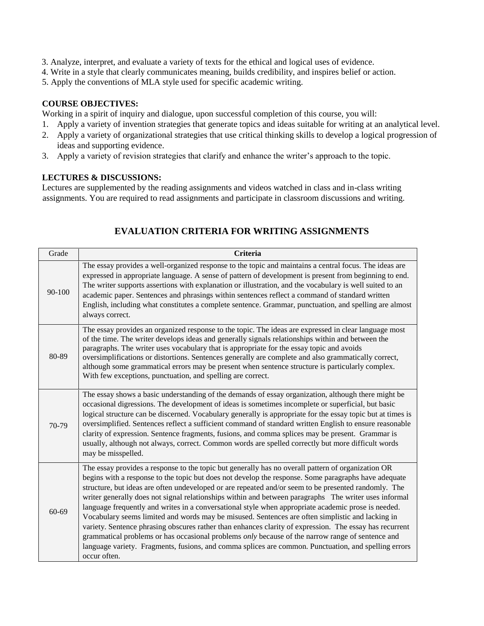- 3. Analyze, interpret, and evaluate a variety of texts for the ethical and logical uses of evidence.
- 4. Write in a style that clearly communicates meaning, builds credibility, and inspires belief or action.
- 5. Apply the conventions of MLA style used for specific academic writing.

#### **COURSE OBJECTIVES:**

Working in a spirit of inquiry and dialogue, upon successful completion of this course, you will:

- 1. Apply a variety of invention strategies that generate topics and ideas suitable for writing at an analytical level.
- 2. Apply a variety of organizational strategies that use critical thinking skills to develop a logical progression of ideas and supporting evidence.
- 3. Apply a variety of revision strategies that clarify and enhance the writer's approach to the topic.

#### **LECTURES & DISCUSSIONS:**

Lectures are supplemented by the reading assignments and videos watched in class and in-class writing assignments. You are required to read assignments and participate in classroom discussions and writing.

| Grade  | <b>Criteria</b>                                                                                                                                                                                                                                                                                                                                                                                                                                                                                                                                                                                                                                                                                                                                                                                                                                                                                                                                                                      |
|--------|--------------------------------------------------------------------------------------------------------------------------------------------------------------------------------------------------------------------------------------------------------------------------------------------------------------------------------------------------------------------------------------------------------------------------------------------------------------------------------------------------------------------------------------------------------------------------------------------------------------------------------------------------------------------------------------------------------------------------------------------------------------------------------------------------------------------------------------------------------------------------------------------------------------------------------------------------------------------------------------|
| 90-100 | The essay provides a well-organized response to the topic and maintains a central focus. The ideas are<br>expressed in appropriate language. A sense of pattern of development is present from beginning to end.<br>The writer supports assertions with explanation or illustration, and the vocabulary is well suited to an<br>academic paper. Sentences and phrasings within sentences reflect a command of standard written<br>English, including what constitutes a complete sentence. Grammar, punctuation, and spelling are almost<br>always correct.                                                                                                                                                                                                                                                                                                                                                                                                                          |
| 80-89  | The essay provides an organized response to the topic. The ideas are expressed in clear language most<br>of the time. The writer develops ideas and generally signals relationships within and between the<br>paragraphs. The writer uses vocabulary that is appropriate for the essay topic and avoids<br>oversimplifications or distortions. Sentences generally are complete and also grammatically correct,<br>although some grammatical errors may be present when sentence structure is particularly complex.<br>With few exceptions, punctuation, and spelling are correct.                                                                                                                                                                                                                                                                                                                                                                                                   |
| 70-79  | The essay shows a basic understanding of the demands of essay organization, although there might be<br>occasional digressions. The development of ideas is sometimes incomplete or superficial, but basic<br>logical structure can be discerned. Vocabulary generally is appropriate for the essay topic but at times is<br>oversimplified. Sentences reflect a sufficient command of standard written English to ensure reasonable<br>clarity of expression. Sentence fragments, fusions, and comma splices may be present. Grammar is<br>usually, although not always, correct. Common words are spelled correctly but more difficult words<br>may be misspelled.                                                                                                                                                                                                                                                                                                                  |
| 60-69  | The essay provides a response to the topic but generally has no overall pattern of organization OR<br>begins with a response to the topic but does not develop the response. Some paragraphs have adequate<br>structure, but ideas are often undeveloped or are repeated and/or seem to be presented randomly. The<br>writer generally does not signal relationships within and between paragraphs The writer uses informal<br>language frequently and writes in a conversational style when appropriate academic prose is needed.<br>Vocabulary seems limited and words may be misused. Sentences are often simplistic and lacking in<br>variety. Sentence phrasing obscures rather than enhances clarity of expression. The essay has recurrent<br>grammatical problems or has occasional problems <i>only</i> because of the narrow range of sentence and<br>language variety. Fragments, fusions, and comma splices are common. Punctuation, and spelling errors<br>occur often. |

## **EVALUATION CRITERIA FOR WRITING ASSIGNMENTS**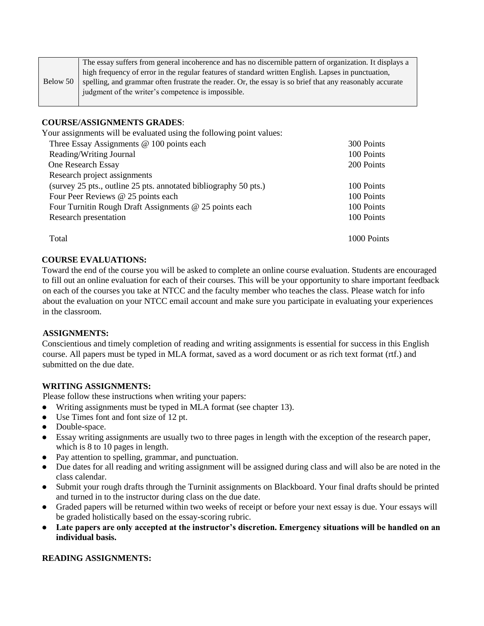|          | The essay suffers from general incoherence and has no discernible pattern of organization. It displays a |  |  |  |
|----------|----------------------------------------------------------------------------------------------------------|--|--|--|
|          | high frequency of error in the regular features of standard written English. Lapses in punctuation,      |  |  |  |
| Below 50 | spelling, and grammar often frustrate the reader. Or, the essay is so brief that any reasonably accurate |  |  |  |
|          | judgment of the writer's competence is impossible.                                                       |  |  |  |

#### **COURSE/ASSIGNMENTS GRADES**:

Your assignments will be evaluated using the following point values: Three Essay Assignments @ 100 points each 300 Points Reading/Writing Journal 100 Points One Research Essay 200 Points Research project assignments (survey 25 pts., outline 25 pts. annotated bibliography 50 pts.) 100 Points Four Peer Reviews @ 25 points each 100 Points Four Turnitin Rough Draft Assignments @ 25 points each 100 Points Research presentation 100 Points Total 1000 Points

#### **COURSE EVALUATIONS:**

Toward the end of the course you will be asked to complete an online course evaluation. Students are encouraged to fill out an online evaluation for each of their courses. This will be your opportunity to share important feedback on each of the courses you take at NTCC and the faculty member who teaches the class. Please watch for info about the evaluation on your NTCC email account and make sure you participate in evaluating your experiences in the classroom.

#### **ASSIGNMENTS:**

Conscientious and timely completion of reading and writing assignments is essential for success in this English course. All papers must be typed in MLA format, saved as a word document or as rich text format (rtf.) and submitted on the due date.

#### **WRITING ASSIGNMENTS:**

Please follow these instructions when writing your papers:

- Writing assignments must be typed in MLA format (see chapter 13).
- Use Times font and font size of 12 pt.
- Double-space.
- Essay writing assignments are usually two to three pages in length with the exception of the research paper, which is 8 to 10 pages in length.
- Pay attention to spelling, grammar, and punctuation.
- Due dates for all reading and writing assignment will be assigned during class and will also be are noted in the class calendar.
- Submit your rough drafts through the Turninit assignments on Blackboard. Your final drafts should be printed and turned in to the instructor during class on the due date.
- Graded papers will be returned within two weeks of receipt or before your next essay is due. Your essays will be graded holistically based on the essay-scoring rubric.
- **Late papers are only accepted at the instructor's discretion. Emergency situations will be handled on an individual basis.**

#### **READING ASSIGNMENTS:**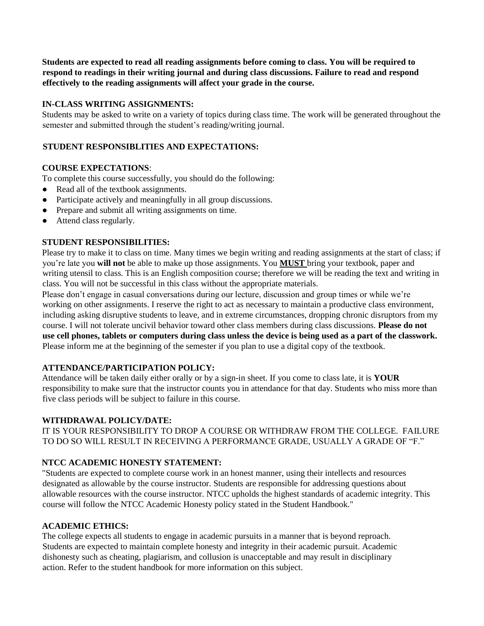**Students are expected to read all reading assignments before coming to class. You will be required to respond to readings in their writing journal and during class discussions. Failure to read and respond effectively to the reading assignments will affect your grade in the course.** 

#### **IN-CLASS WRITING ASSIGNMENTS:**

Students may be asked to write on a variety of topics during class time. The work will be generated throughout the semester and submitted through the student's reading/writing journal.

#### **STUDENT RESPONSIBLITIES AND EXPECTATIONS:**

#### **COURSE EXPECTATIONS**:

To complete this course successfully, you should do the following:

- Read all of the textbook assignments.
- Participate actively and meaningfully in all group discussions.
- Prepare and submit all writing assignments on time.
- Attend class regularly.

#### **STUDENT RESPONSIBILITIES:**

Please try to make it to class on time. Many times we begin writing and reading assignments at the start of class; if you're late you **will not** be able to make up those assignments. You **MUST** bring your textbook, paper and writing utensil to class. This is an English composition course; therefore we will be reading the text and writing in class. You will not be successful in this class without the appropriate materials.

Please don't engage in casual conversations during our lecture, discussion and group times or while we're working on other assignments. I reserve the right to act as necessary to maintain a productive class environment, including asking disruptive students to leave, and in extreme circumstances, dropping chronic disruptors from my course. I will not tolerate uncivil behavior toward other class members during class discussions. **Please do not use cell phones, tablets or computers during class unless the device is being used as a part of the classwork.**  Please inform me at the beginning of the semester if you plan to use a digital copy of the textbook.

## **ATTENDANCE/PARTICIPATION POLICY:**

Attendance will be taken daily either orally or by a sign-in sheet. If you come to class late, it is **YOUR**  responsibility to make sure that the instructor counts you in attendance for that day. Students who miss more than five class periods will be subject to failure in this course.

#### **WITHDRAWAL POLICY/DATE:**

IT IS YOUR RESPONSIBILITY TO DROP A COURSE OR WITHDRAW FROM THE COLLEGE. FAILURE TO DO SO WILL RESULT IN RECEIVING A PERFORMANCE GRADE, USUALLY A GRADE OF "F."

## **NTCC ACADEMIC HONESTY STATEMENT:**

"Students are expected to complete course work in an honest manner, using their intellects and resources designated as allowable by the course instructor. Students are responsible for addressing questions about allowable resources with the course instructor. NTCC upholds the highest standards of academic integrity. This course will follow the NTCC Academic Honesty policy stated in the Student Handbook."

#### **ACADEMIC ETHICS:**

The college expects all students to engage in academic pursuits in a manner that is beyond reproach. Students are expected to maintain complete honesty and integrity in their academic pursuit. Academic dishonesty such as cheating, plagiarism, and collusion is unacceptable and may result in disciplinary action. Refer to the student handbook for more information on this subject.